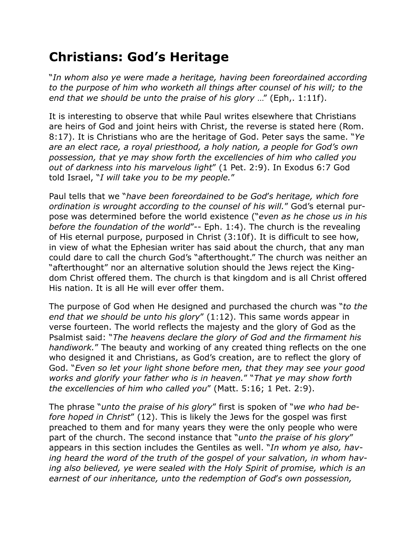## **Christians: God's Heritage**

"*In whom also ye were made a heritage, having been foreordained according to the purpose of him who worketh all things after counsel of his will; to the end that we should be unto the praise of his glory* …" (Eph,. 1:11f).

It is interesting to observe that while Paul writes elsewhere that Christians are heirs of God and joint heirs with Christ, the reverse is stated here (Rom. 8:17). It is Christians who are the heritage of God. Peter says the same. "*Ye are an elect race, a royal priesthood, a holy nation, a people for God's own possession, that ye may show forth the excellencies of him who called you out of darkness into his marvelous light*" (1 Pet. 2:9). In Exodus 6:7 God told Israel, "*I will take you to be my people.*"

Paul tells that we "*have been foreordained to be God*'*s heritage, which fore ordination is wrought according to the counsel of his will.*" God's eternal purpose was determined before the world existence ("*even as he chose us in his before the foundation of the world*"-- Eph. 1:4). The church is the revealing of His eternal purpose, purposed in Christ (3:10f). It is difficult to see how, in view of what the Ephesian writer has said about the church, that any man could dare to call the church God's "afterthought." The church was neither an "afterthought" nor an alternative solution should the Jews reject the Kingdom Christ offered them. The church is that kingdom and is all Christ offered His nation. It is all He will ever offer them.

The purpose of God when He designed and purchased the church was "*to the end that we should be unto his glory*" (1:12). This same words appear in verse fourteen. The world reflects the majesty and the glory of God as the Psalmist said: "*The heavens declare the glory of God and the firmament his handiwork.*" The beauty and working of any created thing reflects on the one who designed it and Christians, as God's creation, are to reflect the glory of God. "*Even so let your light shone before men, that they may see your good works and glorify your father who is in heaven.*" "*That ye may show forth the excellencies of him who called you*" (Matt. 5:16; 1 Pet. 2:9).

The phrase "*unto the praise of his glory*" first is spoken of "*we who had before hoped in Christ*" (12). This is likely the Jews for the gospel was first preached to them and for many years they were the only people who were part of the church. The second instance that "*unto the praise of his glory*" appears in this section includes the Gentiles as well. "*In whom ye also, having heard the word of the truth of the gospel of your salvation, in whom having also believed, ye were sealed with the Holy Spirit of promise, which is an earnest of our inheritance, unto the redemption of God*'*s own possession,*